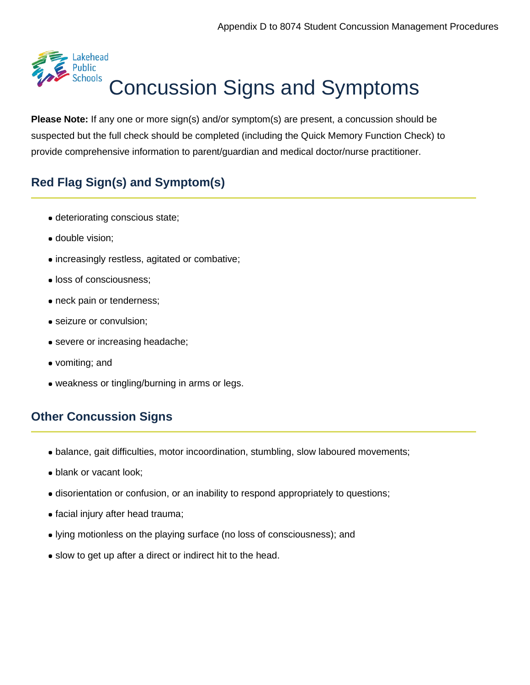

**Please Note:** If any one or more sign(s) and/or symptom(s) are present, a concussion should be suspected but the full check should be completed (including the Quick Memory Function Check) to provide comprehensive information to parent/guardian and medical doctor/nurse practitioner.

## **Red Flag Sign(s) and Symptom(s)**

- deteriorating conscious state;
- double vision;
- increasingly restless, agitated or combative;
- **.** loss of consciousness;
- neck pain or tenderness;
- seizure or convulsion;
- severe or increasing headache;
- vomiting; and
- weakness or tingling/burning in arms or legs.

## **Other Concussion Signs**

- balance, gait difficulties, motor incoordination, stumbling, slow laboured movements;
- blank or vacant look;
- disorientation or confusion, or an inability to respond appropriately to questions;
- facial injury after head trauma;
- lying motionless on the playing surface (no loss of consciousness); and
- slow to get up after a direct or indirect hit to the head.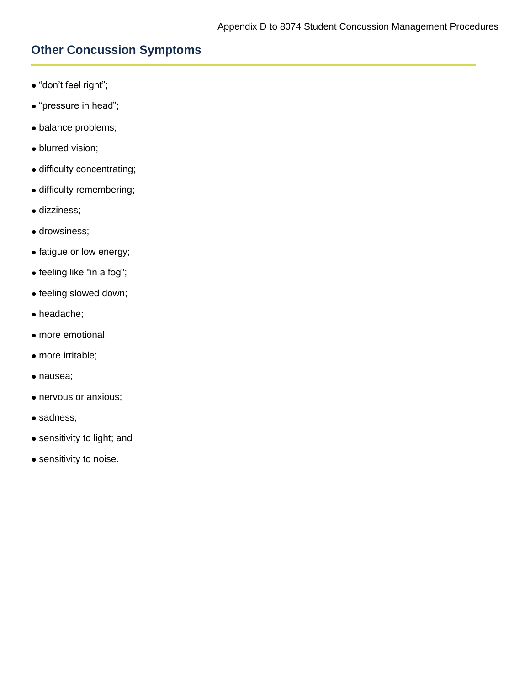## **Other Concussion Symptoms**

- "don't feel right";
- "pressure in head";
- balance problems;
- blurred vision;
- difficulty concentrating;
- difficulty remembering;
- dizziness;
- **drowsiness;**
- fatigue or low energy;
- feeling like "in a fog";
- feeling slowed down;
- headache;
- more emotional;
- more irritable;
- nausea;
- nervous or anxious;
- sadness;
- sensitivity to light; and
- sensitivity to noise.